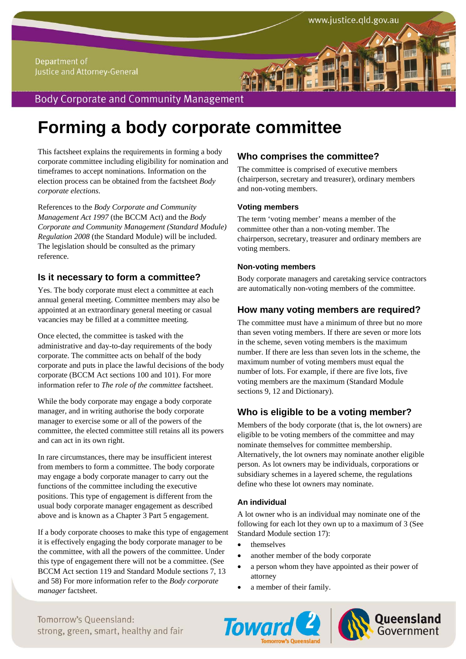# **Forming a body corporate committee**

This factsheet explains the requirements in forming a body corporate committee including eligibility for nomination and timeframes to accept nominations. Information on the election process can be obtained from the factsheet *Body corporate elections*.

References to the *Body Corporate and Community Management Act 1997* (the BCCM Act) and the *Body Corporate and Community Management (Standard Module) Regulation 2008* (the Standard Module) will be included. The legislation should be consulted as the primary reference.

## **Is it necessary to form a committee?**

Yes. The body corporate must elect a committee at each annual general meeting. Committee members may also be appointed at an extraordinary general meeting or casual vacancies may be filled at a committee meeting.

Once elected, the committee is tasked with the administrative and day-to-day requirements of the body corporate. The committee acts on behalf of the body corporate and puts in place the lawful decisions of the body corporate (BCCM Act sections 100 and 101). For more information refer to *The role of the committee* factsheet.

While the body corporate may engage a body corporate manager, and in writing authorise the body corporate manager to exercise some or all of the powers of the committee, the elected committee still retains all its powers and can act in its own right.

In rare circumstances, there may be insufficient interest from members to form a committee. The body corporate may engage a body corporate manager to carry out the functions of the committee including the executive positions. This type of engagement is different from the usual body corporate manager engagement as described above and is known as a Chapter 3 Part 5 engagement.

If a body corporate chooses to make this type of engagement it is effectively engaging the body corporate manager to be the committee, with all the powers of the committee. Under this type of engagement there will not be a committee. (See BCCM Act section 119 and Standard Module sections 7, 13 and 58) For more information refer to the *Body corporate manager* factsheet.

## **Who comprises the committee?**

The committee is comprised of executive members (chairperson, secretary and treasurer), ordinary members and non-voting members.

www.justice.qld.gov.au

#### **Voting members**

The term 'voting member' means a member of the committee other than a non-voting member. The chairperson, secretary, treasurer and ordinary members are voting members.

#### **Non-voting members**

Body corporate managers and caretaking service contractors are automatically non-voting members of the committee.

## **How many voting members are required?**

The committee must have a minimum of three but no more than seven voting members. If there are seven or more lots in the scheme, seven voting members is the maximum number. If there are less than seven lots in the scheme, the maximum number of voting members must equal the number of lots. For example, if there are five lots, five voting members are the maximum (Standard Module sections 9, 12 and Dictionary).

## **Who is eligible to be a voting member?**

Members of the body corporate (that is, the lot owners) are eligible to be voting members of the committee and may nominate themselves for committee membership. Alternatively, the lot owners may nominate another eligible person. As lot owners may be individuals, corporations or subsidiary schemes in a layered scheme, the regulations define who these lot owners may nominate.

### **An individual**

A lot owner who is an individual may nominate one of the following for each lot they own up to a maximum of 3 (See Standard Module section 17):

- themselves
- another member of the body corporate
- a person whom they have appointed as their power of attorney
- a member of their family.